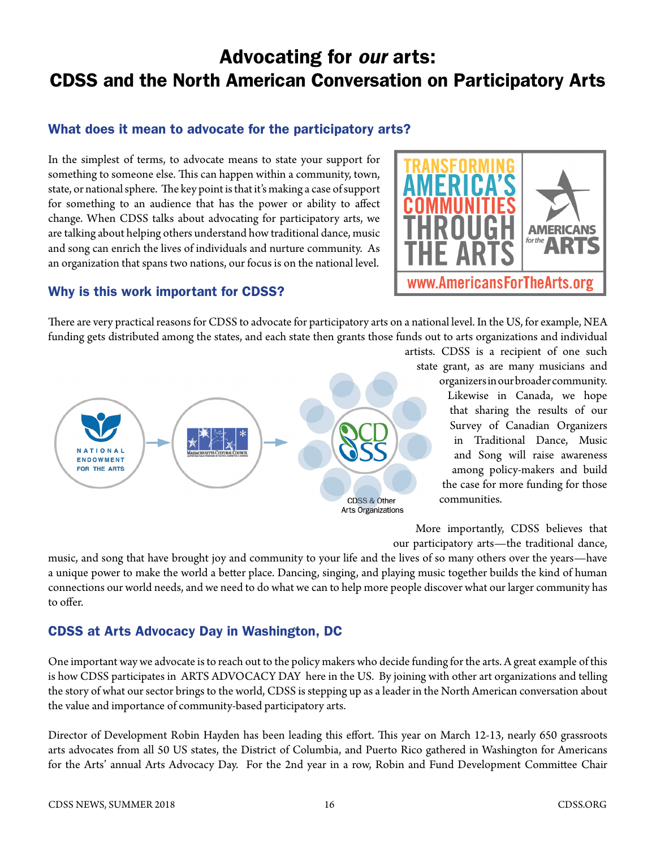# Advocating for *our* arts: CDSS and the North American Conversation on Participatory Arts

### What does it mean to advocate for the participatory arts?

In the simplest of terms, to advocate means to state your support for something to someone else. This can happen within a community, town, state, or national sphere. The key point is that it's making a case of support for something to an audience that has the power or ability to affect change. When CDSS talks about advocating for participatory arts, we are talking about helping others understand how traditional dance, music and song can enrich the lives of individuals and nurture community. As an organization that spans two nations, our focus is on the national level.



#### Why is this work important for CDSS?

There are very practical reasons for CDSS to advocate for participatory arts on a national level. In the US, for example, NEA funding gets distributed among the states, and each state then grants those funds out to arts organizations and individual



artists. CDSS is a recipient of one such state grant, as are many musicians and organizers in our broader community. Likewise in Canada, we hope that sharing the results of our Survey of Canadian Organizers in Traditional Dance, Music and Song will raise awareness among policy-makers and build the case for more funding for those communities.

More importantly, CDSS believes that our participatory arts—the traditional dance,

music, and song that have brought joy and community to your life and the lives of so many others over the years—have a unique power to make the world a better place. Dancing, singing, and playing music together builds the kind of human connections our world needs, and we need to do what we can to help more people discover what our larger community has to offer.

## CDSS at Arts Advocacy Day in Washington, DC

One important way we advocate is to reach out to the policy makers who decide funding for the arts. A great example of this is how CDSS participates in ARTS ADVOCACY DAY here in the US. By joining with other art organizations and telling the story of what our sector brings to the world, CDSS is stepping up as a leader in the North American conversation about the value and importance of community-based participatory arts.

Director of Development Robin Hayden has been leading this effort. This year on March 12-13, nearly 650 grassroots arts advocates from all 50 US states, the District of Columbia, and Puerto Rico gathered in Washington for Americans for the Arts' annual Arts Advocacy Day. For the 2nd year in a row, Robin and Fund Development Committee Chair